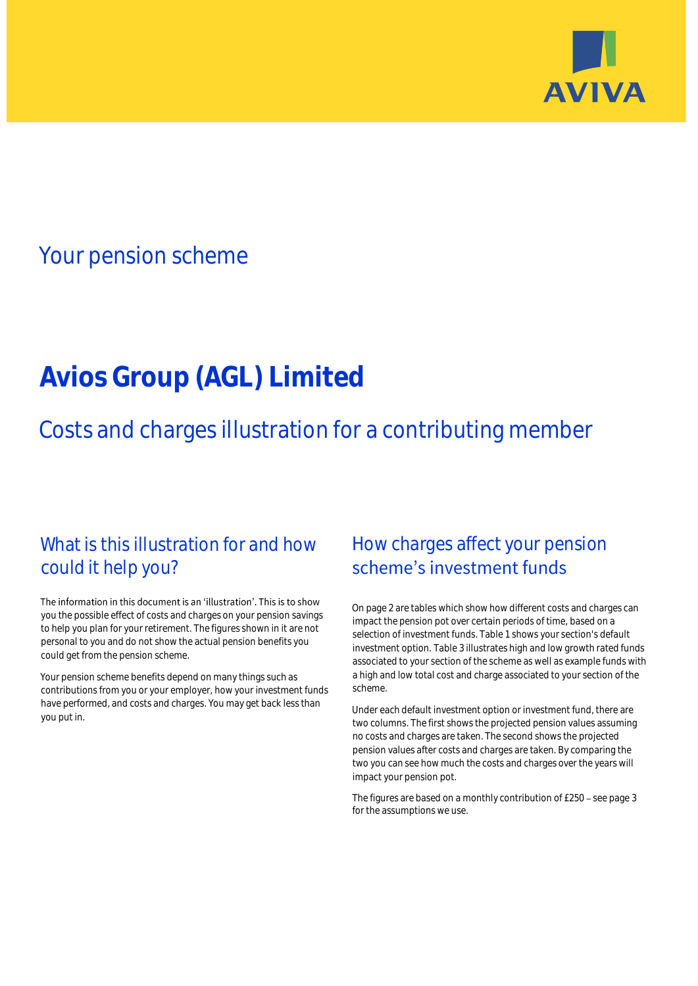

## Your pension scheme

# **Avios Group (AGL) Limited**

Costs and charges illustration for a contributing member

### What is this illustration for and how could it help you?

#### The information in this document is an 'illustration'. This is to show you the possible effect of costs and charges on your pension savings to help you plan for your retirement. The figures shown in it are not personal to you and do not show the actual pension benefits you could get from the pension scheme.

Your pension scheme benefits depend on many things such as contributions from you or your employer, how your investment funds have performed, and costs and charges. You may get back less than you put in.

### How charges affect your pension scheme's investment funds

On page 2 are tables which show how different costs and charges can impact the pension pot over certain periods of time, based on a selection of investment funds. Table 1 shows your section's default investment option. Table 3 illustrates high and low growth rated funds associated to your section of the scheme as well as example funds with a high and low total cost and charge associated to your section of the scheme.

Under each default investment option or investment fund, there are two columns. The first shows the projected pension values assuming no costs and charges are taken. The second shows the projected pension values after costs and charges are taken. By comparing the two you can see how much the costs and charges over the years will impact your pension pot.

The figures are based on a monthly contribution of £250 - see page 3 for the assumptions we use.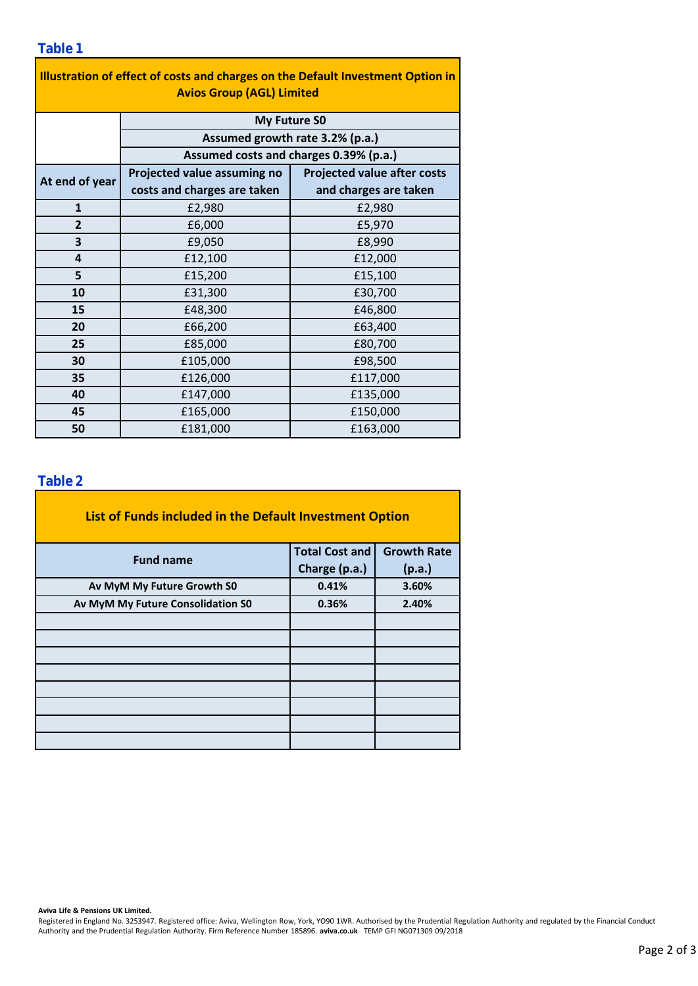### **Table 1**

| Illustration of effect of costs and charges on the Default Investment Option in<br><b>Avios Group (AGL) Limited</b> |                                        |                                    |  |  |  |  |  |  |  |
|---------------------------------------------------------------------------------------------------------------------|----------------------------------------|------------------------------------|--|--|--|--|--|--|--|
|                                                                                                                     |                                        |                                    |  |  |  |  |  |  |  |
|                                                                                                                     | <b>My Future SO</b>                    |                                    |  |  |  |  |  |  |  |
|                                                                                                                     | Assumed growth rate 3.2% (p.a.)        |                                    |  |  |  |  |  |  |  |
|                                                                                                                     | Assumed costs and charges 0.39% (p.a.) |                                    |  |  |  |  |  |  |  |
| At end of year                                                                                                      | Projected value assuming no            | <b>Projected value after costs</b> |  |  |  |  |  |  |  |
|                                                                                                                     | costs and charges are taken            | and charges are taken              |  |  |  |  |  |  |  |
| $\mathbf{1}$                                                                                                        | £2,980                                 | £2,980                             |  |  |  |  |  |  |  |
| $\overline{2}$                                                                                                      | £6,000                                 | £5,970                             |  |  |  |  |  |  |  |
| 3                                                                                                                   | £9,050                                 | £8,990                             |  |  |  |  |  |  |  |
| 4                                                                                                                   | £12,100                                | £12,000                            |  |  |  |  |  |  |  |
| 5                                                                                                                   | £15,200                                | £15,100                            |  |  |  |  |  |  |  |
| 10                                                                                                                  | £31,300                                | £30,700                            |  |  |  |  |  |  |  |
| 15                                                                                                                  | £48,300                                | £46,800                            |  |  |  |  |  |  |  |
| 20                                                                                                                  | £66,200                                | £63,400                            |  |  |  |  |  |  |  |
| 25                                                                                                                  | £85,000                                | £80,700                            |  |  |  |  |  |  |  |
| 30                                                                                                                  | £105,000                               | £98,500                            |  |  |  |  |  |  |  |
| 35                                                                                                                  | £126,000                               | £117,000                           |  |  |  |  |  |  |  |
| 40                                                                                                                  | £147,000                               | £135,000                           |  |  |  |  |  |  |  |
| 45                                                                                                                  | £165,000                               | £150,000                           |  |  |  |  |  |  |  |
| 50                                                                                                                  | £181,000                               | £163,000                           |  |  |  |  |  |  |  |

### **Table 2**

| List of Funds included in the Default Investment Option |                       |                    |
|---------------------------------------------------------|-----------------------|--------------------|
| <b>Fund name</b>                                        | <b>Total Cost and</b> | <b>Growth Rate</b> |
|                                                         | Charge (p.a.)         | (p.a.)             |
| Av MyM My Future Growth S0                              | 0.41%                 | 3.60%              |
| Av MyM My Future Consolidation S0                       | 0.36%                 | 2.40%              |
|                                                         |                       |                    |
|                                                         |                       |                    |
|                                                         |                       |                    |
|                                                         |                       |                    |
|                                                         |                       |                    |
|                                                         |                       |                    |
|                                                         |                       |                    |
|                                                         |                       |                    |

#### **Aviva Life & Pensions UK Limited.**

Registered in England No. 3253947. Registered office: Aviva, Wellington Row, York, YO90 1WR. Authorised by the Prudential Regulation Authority and regulated by the Financial Conduct Authority and the Prudential Regulation Authority. Firm Reference Number 185896. **aviva.co.uk** TEMP GFI NG071309 09/2018